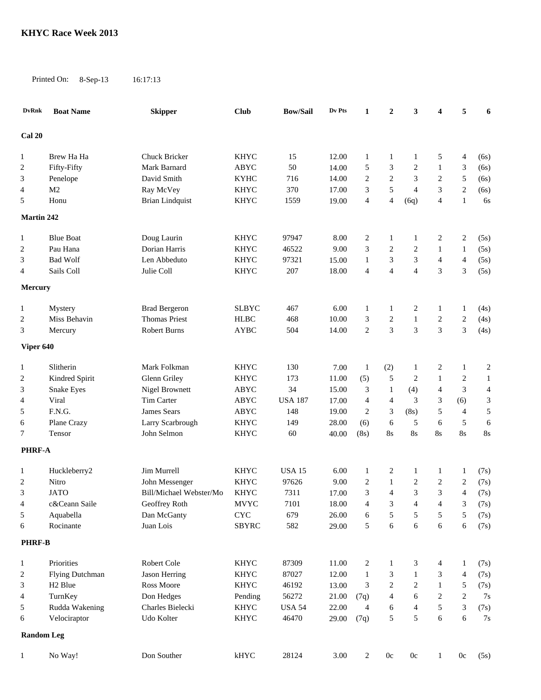Printed On: 8-Sep-13 16:17:13

| <b>DvRnk</b>      | <b>Boat Name</b>    | <b>Skipper</b>          | <b>Club</b>               | <b>Bow/Sail</b> | Dv Pts | 1              | $\boldsymbol{2}$ | 3              | $\overline{\mathbf{4}}$ | 5              | 6              |
|-------------------|---------------------|-------------------------|---------------------------|-----------------|--------|----------------|------------------|----------------|-------------------------|----------------|----------------|
| Cal 20            |                     |                         |                           |                 |        |                |                  |                |                         |                |                |
| 1                 | Brew Ha Ha          | Chuck Bricker           | <b>KHYC</b>               | 15              | 12.00  | 1              | 1                | 1              | 5                       | 4              | (6s)           |
| 2                 | Fifty-Fifty         | Mark Barnard            | ABYC                      | 50              | 14.00  | 5              | 3                | $\overline{2}$ | 1                       | 3              | (6s)           |
| 3                 | Penelope            | David Smith             | <b>KYHC</b>               | 716             | 14.00  | $\mathfrak{2}$ | $\overline{c}$   | 3              | 2                       | 5              | (6s)           |
| 4                 | M <sub>2</sub>      | Ray McVey               | <b>KHYC</b>               | 370             | 17.00  | 3              | 5                | $\overline{4}$ | 3                       | $\overline{c}$ | (6s)           |
|                   |                     |                         | <b>KHYC</b>               | 1559            | 19.00  | $\overline{4}$ | $\overline{4}$   |                | $\overline{4}$          |                |                |
| 5                 | Honu                | <b>Brian Lindquist</b>  |                           |                 |        |                |                  | (6q)           |                         | $\mathbf{1}$   | 6s             |
| <b>Martin 242</b> |                     |                         |                           |                 |        |                |                  |                |                         |                |                |
| 1                 | <b>Blue Boat</b>    | Doug Laurin             | <b>KHYC</b>               | 97947           | 8.00   | $\sqrt{2}$     | 1                | $\mathbf{1}$   | 2                       | 2              | (5s)           |
| 2                 | Pau Hana            | Dorian Harris           | <b>KHYC</b>               | 46522           | 9.00   | 3              | 2                | $\overline{2}$ | 1                       | 1              | (5s)           |
| 3                 | <b>Bad Wolf</b>     | Len Abbeduto            | <b>KHYC</b>               | 97321           | 15.00  | 1              | 3                | $\mathfrak{Z}$ | $\overline{4}$          | $\overline{4}$ | (5s)           |
| 4                 | Sails Coll          | Julie Coll              | <b>KHYC</b>               | 207             | 18.00  | $\overline{4}$ | $\overline{4}$   | $\overline{4}$ | 3                       | 3              | (5s)           |
| <b>Mercury</b>    |                     |                         |                           |                 |        |                |                  |                |                         |                |                |
| 1                 | Mystery             | <b>Brad Bergeron</b>    | <b>SLBYC</b>              | 467             | 6.00   | 1              | 1                | $\overline{c}$ | 1                       | 1              | (4s)           |
| $\overline{c}$    | Miss Behavin        | <b>Thomas Priest</b>    | <b>HLBC</b>               | 468             | 10.00  | 3              | $\overline{c}$   | $\mathbf{1}$   | 2                       | $\overline{c}$ | (4s)           |
| 3                 | Mercury             | <b>Robert Burns</b>     | <b>AYBC</b>               | 504             | 14.00  | $\overline{2}$ | $\overline{3}$   | 3              | 3                       | 3              | (4s)           |
|                   |                     |                         |                           |                 |        |                |                  |                |                         |                |                |
| Viper 640         |                     |                         |                           |                 |        |                |                  |                |                         |                |                |
| 1                 | Slitherin           | Mark Folkman            | <b>KHYC</b>               | 130             | 7.00   | $\mathbf{1}$   | (2)              | $\mathbf{1}$   | 2                       | 1              | $\overline{c}$ |
| 2                 | Kindred Spirit      | Glenn Griley            | <b>KHYC</b>               | 173             | 11.00  | (5)            | 5                | $\overline{c}$ | 1                       | 2              | $\mathbf{1}$   |
| 3                 | Snake Eyes          | Nigel Brownett          | ABYC                      | 34              | 15.00  | 3              | $\mathbf{1}$     | (4)            | $\overline{4}$          | 3              | $\overline{4}$ |
| 4                 | Viral               | Tim Carter              | ABYC                      | <b>USA 187</b>  | 17.00  | $\overline{4}$ | $\overline{4}$   | 3              | 3                       | (6)            | 3              |
| 5                 | F.N.G.              | James Sears             | ABYC                      | 148             | 19.00  | $\overline{2}$ | 3                | (8s)           | 5                       | $\overline{4}$ | 5              |
| 6                 | Plane Crazy         | Larry Scarbrough        | <b>KHYC</b>               | 149             | 28.00  | (6)            | 6                | 5              | 6                       | 5              | 6              |
| 7                 | Tensor              | John Selmon             | <b>KHYC</b>               | 60              | 40.00  | (8s)           | 8s               | $8\mathrm{s}$  | 8s                      | 8s             | 8s             |
| <b>PHRF-A</b>     |                     |                         |                           |                 |        |                |                  |                |                         |                |                |
|                   |                     |                         |                           |                 |        |                |                  |                |                         |                |                |
| 1                 | Huckleberry2        | Jim Murrell             | <b>KHYC</b>               | <b>USA 15</b>   | 6.00   | 1              | 2                | $\mathbf{1}$   | 1                       | 1              | (7s)           |
| 2                 | Nitro               | John Messenger          | <b>KHYC</b>               | 97626           | 9.00   | $\overline{c}$ | 1                | $\overline{2}$ | 2                       | 2              | (7s)           |
| 3                 | <b>JATO</b>         | Bill/Michael Webster/Mo | <b>KHYC</b>               | 7311            | 17.00  | $\mathfrak{Z}$ | $\overline{4}$   | $\mathfrak{Z}$ | 3                       | $\overline{4}$ | (7s)           |
| 4                 | c&Ceann Saile       | Geoffrey Roth           | $\operatorname{MVYC}$     | 7101            | 18.00  | $\overline{4}$ | $\mathfrak{Z}$   | $\overline{4}$ | $\overline{4}$          | $\mathfrak{Z}$ | (7s)           |
| 5                 | Aquabella           | Dan McGanty             | $\ensuremath{\text{CYC}}$ | 679             | 26.00  | 6              | 5                | 5              | 5                       | 5              | (7s)           |
| 6                 | Rocinante           | Juan Lois               | <b>SBYRC</b>              | 582             | 29.00  | 5              | 6                | $\sqrt{6}$     | $\sqrt{6}$              | 6              | (7s)           |
| <b>PHRF-B</b>     |                     |                         |                           |                 |        |                |                  |                |                         |                |                |
| $\mathbf{1}$      | Priorities          | Robert Cole             | <b>KHYC</b>               | 87309           | 11.00  | $\overline{c}$ | 1                | $\mathfrak{Z}$ | 4                       | $\mathbf{1}$   | (7s)           |
| 2                 | Flying Dutchman     | Jason Herring           | <b>KHYC</b>               | 87027           | 12.00  | $\mathbf{1}$   | 3                | $\mathbf{1}$   | 3                       | $\overline{4}$ | (7s)           |
| 3                 | H <sub>2</sub> Blue | Ross Moore              | <b>KHYC</b>               | 46192           | 13.00  | 3              | $\overline{2}$   | $\sqrt{2}$     | 1                       | 5              | (7s)           |
| 4                 | TurnKey             | Don Hedges              | Pending                   | 56272           | 21.00  | (7q)           | 4                | 6              | 2                       | 2              | 7s             |
| 5                 | Rudda Wakening      | Charles Bielecki        | KHYC                      | <b>USA 54</b>   | 22.00  | $\overline{4}$ | 6                | $\overline{4}$ | 5                       | 3              | (7s)           |
| 6                 | Velociraptor        | Udo Kolter              | <b>KHYC</b>               | 46470           | 29.00  | (7q)           | 5                | $\sqrt{5}$     | 6                       | 6              | 7s             |
| <b>Random Leg</b> |                     |                         |                           |                 |        |                |                  |                |                         |                |                |
|                   | No Way!             | Don Souther             | $k$ HYC                   | 28124           | 3.00   |                | 0c               | $0\mathrm{c}$  |                         | 0c             |                |
|                   |                     |                         |                           |                 |        | $\overline{c}$ |                  |                | 1                       |                | (5s)           |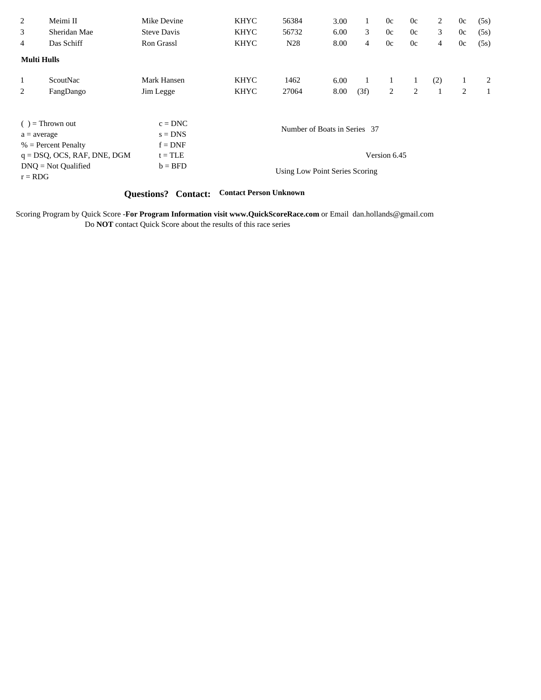| 2<br>3<br>4        | Meimi II<br>Sheridan Mae<br>Das Schiff                  | Mike Devine<br><b>Steve Davis</b><br><b>Ron Grassl</b> | <b>KHYC</b><br><b>KHYC</b><br><b>KHYC</b> | 56384<br>56732<br>N <sub>28</sub> | 3.00<br>6.00<br>8.00 | 3<br>$\overline{4}$ | 0c<br>0c<br>0c | 0c<br>0c<br>0c | $\overline{2}$<br>3<br>4 | 0c<br>0c<br>0c | (5s)<br>(5s)<br>(5s) |  |
|--------------------|---------------------------------------------------------|--------------------------------------------------------|-------------------------------------------|-----------------------------------|----------------------|---------------------|----------------|----------------|--------------------------|----------------|----------------------|--|
| <b>Multi Hulls</b> |                                                         |                                                        |                                           |                                   |                      |                     |                |                |                          |                |                      |  |
| $\mathbf{1}$       | ScoutNac                                                | Mark Hansen                                            | <b>KHYC</b>                               | 1462                              | 6.00                 |                     |                | 1              | (2)                      |                | 2                    |  |
| 2                  | FangDango                                               | Jim Legge                                              | <b>KHYC</b>                               | 27064                             | 8.00                 | (3f)                | 2              | 2              |                          | 2              | $\mathbf{1}$         |  |
| $a = average$      | $( )$ = Thrown out<br>$%$ = Percent Penalty             | $c = DNC$<br>$s = DNS$<br>$f = DNF$                    | Number of Boats in Series 37              |                                   |                      |                     |                |                |                          |                |                      |  |
| $r = RDG$          | $q = DSQ$ , OCS, RAF, DNE, DGM<br>$DNO = Not$ Qualified | $t = TLE$<br>$b = BFD$                                 |                                           | Using Low Point Series Scoring    |                      |                     | Version 6.45   |                |                          |                |                      |  |

## **Questions? Contact: Contact Person Unknown**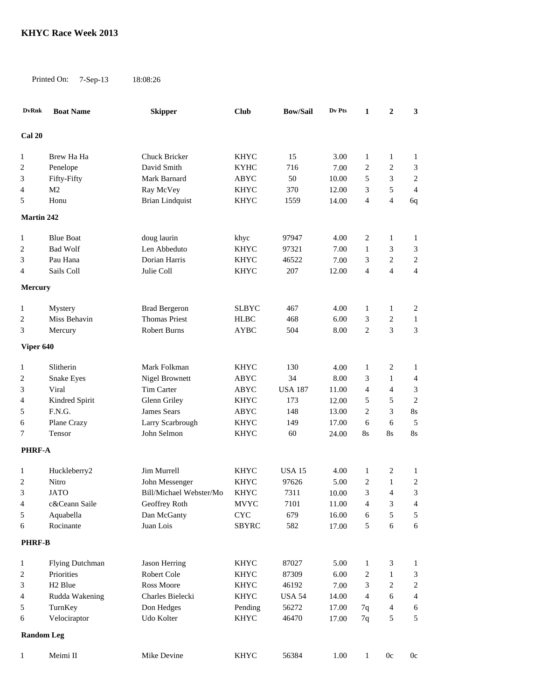Printed On: 7-Sep-13 18:08:26

**DvRnk Boat Name Skipper Club Bow/Sail Dv Pts 1 2 3** 1 Brew Ha Ha Chuck Bricker KHYC 15 3.00 1 1 1 Penelope David Smith KYHC 716 7.00 2 2 3 Fifty-Fifty Mark Barnard ABYC 50 10.00 5 3 2 M2 Ray McVey KHYC 370 12.00 3 5 4 Honu Brian Lindquist KHYC 1559 14.00 4 4 6q Blue Boat doug laurin khyc 97947 4.00 2 1 1 Bad Wolf Len Abbeduto KHYC 97321 7.00 1 3 3 Pau Hana Dorian Harris KHYC 46522 7.00 3 2 2 4 Sails Coll 5 Julie Coll 5 NHYC 207 12.00 4 4 4

**Mercury**

**Martin 242**

**Cal 20**

| Mystery      | <b>Brad Bergeron</b> | <b>SLBYC</b> | 467 | 4.00                     |  |  |
|--------------|----------------------|--------------|-----|--------------------------|--|--|
| Miss Behavin | <b>Thomas Priest</b> | <b>HLBC</b>  | 468 | $6.00 \qquad 3 \qquad 2$ |  |  |
| Mercury      | Robert Burns         | <b>AYBC</b>  | 504 | 8.00 2 3                 |  |  |

| Viper 640      |                   |                  |             |                |       |    |   |    |
|----------------|-------------------|------------------|-------------|----------------|-------|----|---|----|
|                | Slitherin         | Mark Folkman     | <b>KHYC</b> | 130            | 4.00  |    |   |    |
| $\overline{2}$ | <b>Snake Eyes</b> | Nigel Brownett   | <b>ABYC</b> | 34             | 8.00  |    |   | 4  |
| 3              | Viral             | Tim Carter       | <b>ABYC</b> | <b>USA 187</b> | 11.00 | 4  | 4 |    |
| 4              | Kindred Spirit    | Glenn Griley     | <b>KHYC</b> | 173            | 12.00 |    |   |    |
| 5              | F.N.G.            | James Sears      | <b>ABYC</b> | 148            | 13.00 |    |   | 8s |
| 6              | Plane Crazy       | Larry Scarbrough | <b>KHYC</b> | 149            | 17.00 | h. |   |    |

Tensor John Selmon KHYC 60 24.00 8s 8s 8s

**PHRF-A**

| 1 11NP 7A     |                        |                         |              |               |       |                |    |                |
|---------------|------------------------|-------------------------|--------------|---------------|-------|----------------|----|----------------|
| 1             | Huckleberry2           | Jim Murrell             | <b>KHYC</b>  | <b>USA 15</b> | 4.00  |                | 2  |                |
| 2             | Nitro                  | John Messenger          | <b>KHYC</b>  | 97626         | 5.00  | $\overline{2}$ |    | 2              |
| 3             | JATO                   | Bill/Michael Webster/Mo | <b>KHYC</b>  | 7311          | 10.00 | 3              | 4  | 3              |
| 4             | c&Ceann Saile          | Geoffrey Roth           | <b>MVYC</b>  | 7101          | 11.00 | 4              | 3  | 4              |
| 5             | Aquabella              | Dan McGanty             | <b>CYC</b>   | 679           | 16.00 | 6              | 5  | 5              |
| 6             | Rocinante              | Juan Lois               | <b>SBYRC</b> | 582           | 17.00 | 5              | 6  | 6              |
| <b>PHRF-B</b> |                        |                         |              |               |       |                |    |                |
| 1             | <b>Flying Dutchman</b> | Jason Herring           | <b>KHYC</b>  | 87027         | 5.00  |                | 3  |                |
| 2             | Priorities             | Robert Cole             | <b>KHYC</b>  | 87309         | 6.00  | 2              |    | 3              |
| 3             | H <sub>2</sub> Blue    | Ross Moore              | <b>KHYC</b>  | 46192         | 7.00  | 3              | 2  | $\overline{2}$ |
| 4             | Rudda Wakening         | Charles Bielecki        | <b>KHYC</b>  | <b>USA 54</b> | 14.00 | 4              | 6  | $\overline{4}$ |
| 5             | TurnKey                | Don Hedges              | Pending      | 56272         | 17.00 | 7q             | 4  | 6              |
| 6             | Velociraptor           | Udo Kolter              | <b>KHYC</b>  | 46470         | 17.00 | 7q             | 5  | 5              |
|               | <b>Random Leg</b>      |                         |              |               |       |                |    |                |
| 1             | Meimi II               | Mike Devine             | <b>KHYC</b>  | 56384         | 1.00  |                | 0c | 0 <sub>c</sub> |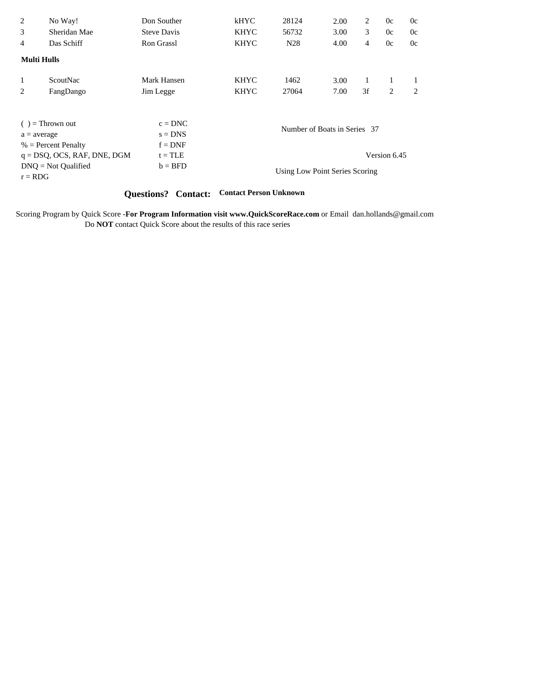| 2<br>3             | No Way!<br>Sheridan Mae        | Don Souther<br><b>Steve Davis</b> | kHYC<br><b>KHYC</b> | 28124<br>56732                 | 2.00<br>3.00                 | 2<br>3 | 0c<br>0c     | 0c<br>0c |
|--------------------|--------------------------------|-----------------------------------|---------------------|--------------------------------|------------------------------|--------|--------------|----------|
| 4                  | Das Schiff                     | Ron Grassl                        | <b>KHYC</b>         | N <sub>28</sub>                | 4.00                         | 4      | 0c           | 0c       |
| <b>Multi Hulls</b> |                                |                                   |                     |                                |                              |        |              |          |
| 1                  | ScoutNac                       | Mark Hansen                       | <b>KHYC</b>         | 1462                           | 3.00                         |        |              |          |
| 2                  | FangDango                      | Jim Legge                         | <b>KHYC</b>         | 27064                          | 7.00                         | 3f     | 2            | 2        |
|                    |                                |                                   |                     |                                |                              |        |              |          |
|                    | $( )$ = Thrown out             | $c = DNC$                         |                     |                                | Number of Boats in Series 37 |        |              |          |
| $a = average$      | $%$ = Percent Penalty          | $s = DNS$<br>$f = DNF$            |                     |                                |                              |        |              |          |
|                    | $q = DSQ$ , OCS, RAF, DNE, DGM | $t = TLE$                         |                     |                                |                              |        | Version 6.45 |          |
| $r = RDG$          | $DNO = Not$ Qualified          | $b = BFD$                         |                     | Using Low Point Series Scoring |                              |        |              |          |

## **Questions? Contact: Contact Person Unknown**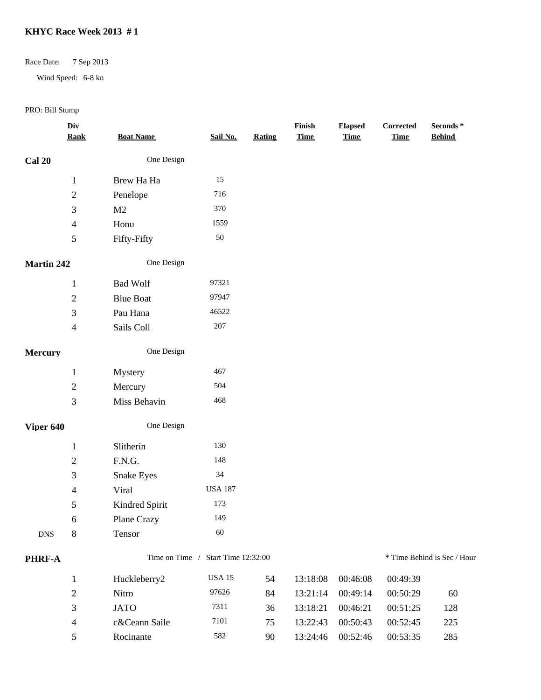## Race Date: 7 Sep 2013

Wind Speed: 6-8 kn

|                   | Div<br><b>Rank</b>       | <b>Boat Name</b>  | Sail No.                           | <b>Rating</b> | Finish<br><b>Time</b> | <b>Elapsed</b><br><b>Time</b> | Corrected<br><b>Time</b> | Seconds *<br><b>Behind</b>  |
|-------------------|--------------------------|-------------------|------------------------------------|---------------|-----------------------|-------------------------------|--------------------------|-----------------------------|
| <b>Cal 20</b>     |                          | One Design        |                                    |               |                       |                               |                          |                             |
|                   | $\mathbf{1}$             | Brew Ha Ha        | 15                                 |               |                       |                               |                          |                             |
|                   | $\overline{c}$           | Penelope          | 716                                |               |                       |                               |                          |                             |
|                   | 3                        | M2                | 370                                |               |                       |                               |                          |                             |
|                   | $\overline{\mathcal{A}}$ | Honu              | 1559                               |               |                       |                               |                          |                             |
|                   | 5                        | Fifty-Fifty       | 50                                 |               |                       |                               |                          |                             |
| <b>Martin 242</b> |                          | One Design        |                                    |               |                       |                               |                          |                             |
|                   | $\mathbf{1}$             | <b>Bad Wolf</b>   | 97321                              |               |                       |                               |                          |                             |
|                   | $\overline{c}$           | <b>Blue Boat</b>  | 97947                              |               |                       |                               |                          |                             |
|                   | 3                        | Pau Hana          | 46522                              |               |                       |                               |                          |                             |
|                   | $\overline{4}$           | Sails Coll        | $207\,$                            |               |                       |                               |                          |                             |
| <b>Mercury</b>    |                          | One Design        |                                    |               |                       |                               |                          |                             |
|                   | $\mathbf{1}$             | Mystery           | 467                                |               |                       |                               |                          |                             |
|                   | $\sqrt{2}$               | Mercury           | 504                                |               |                       |                               |                          |                             |
|                   | 3                        | Miss Behavin      | 468                                |               |                       |                               |                          |                             |
| Viper 640         |                          | One Design        |                                    |               |                       |                               |                          |                             |
|                   | $\mathbf{1}$             | Slitherin         | 130                                |               |                       |                               |                          |                             |
|                   | $\overline{c}$           | F.N.G.            | 148                                |               |                       |                               |                          |                             |
|                   | 3                        | <b>Snake Eyes</b> | 34                                 |               |                       |                               |                          |                             |
|                   | 4                        | Viral             | <b>USA 187</b>                     |               |                       |                               |                          |                             |
|                   | 5                        | Kindred Spirit    | 173                                |               |                       |                               |                          |                             |
|                   | 6                        | Plane Crazy       | 149                                |               |                       |                               |                          |                             |
| <b>DNS</b>        | $8\,$                    | Tensor            | 60                                 |               |                       |                               |                          |                             |
| PHRF-A            |                          |                   | Time on Time / Start Time 12:32:00 |               |                       |                               |                          | * Time Behind is Sec / Hour |
|                   | $\mathbf{1}$             | Huckleberry2      | <b>USA 15</b>                      | 54            | 13:18:08              | 00:46:08                      | 00:49:39                 |                             |
|                   | $\mathbf{2}$             | Nitro             | 97626                              | 84            | 13:21:14              | 00:49:14                      | 00:50:29                 | 60                          |
|                   | 3                        | <b>JATO</b>       | 7311                               | 36            | 13:18:21              | 00:46:21                      | 00:51:25                 | 128                         |
|                   | $\overline{4}$           | c&Ceann Saile     | 7101                               | 75            | 13:22:43              | 00:50:43                      | 00:52:45                 | 225                         |
|                   | 5                        | Rocinante         | 582                                | 90            | 13:24:46              | 00:52:46                      | 00:53:35                 | 285                         |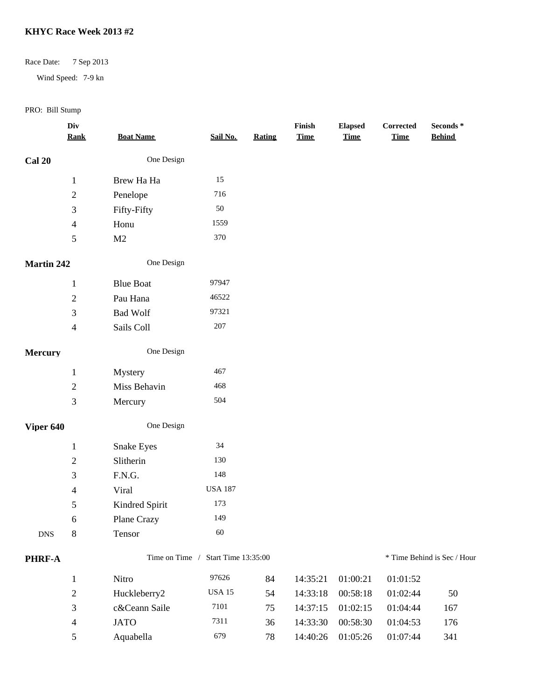## Race Date: 7 Sep 2013

Wind Speed: 7-9 kn

|                   | Div<br><b>Rank</b>       | <b>Boat Name</b>  | Sail No.            | Rating | Finish<br><b>Time</b> | <b>Elapsed</b><br><b>Time</b> | Corrected<br><b>Time</b> | Seconds *<br><b>Behind</b>  |
|-------------------|--------------------------|-------------------|---------------------|--------|-----------------------|-------------------------------|--------------------------|-----------------------------|
| <b>Cal 20</b>     |                          | One Design        |                     |        |                       |                               |                          |                             |
|                   | $\mathbf{1}$             | Brew Ha Ha        | 15                  |        |                       |                               |                          |                             |
|                   | $\overline{c}$           | Penelope          | 716                 |        |                       |                               |                          |                             |
|                   | 3                        | Fifty-Fifty       | 50                  |        |                       |                               |                          |                             |
|                   | $\overline{\mathcal{A}}$ | Honu              | 1559                |        |                       |                               |                          |                             |
|                   | 5                        | M2                | 370                 |        |                       |                               |                          |                             |
| <b>Martin 242</b> |                          | One Design        |                     |        |                       |                               |                          |                             |
|                   | $\mathbf{1}$             | <b>Blue Boat</b>  | 97947               |        |                       |                               |                          |                             |
|                   | $\mathbf{2}$             | Pau Hana          | 46522               |        |                       |                               |                          |                             |
|                   | 3                        | <b>Bad Wolf</b>   | 97321               |        |                       |                               |                          |                             |
|                   | $\overline{\mathcal{L}}$ | Sails Coll        | $207\,$             |        |                       |                               |                          |                             |
| <b>Mercury</b>    |                          | One Design        |                     |        |                       |                               |                          |                             |
|                   | $\mathbf{1}$             | Mystery           | 467                 |        |                       |                               |                          |                             |
|                   | $\overline{2}$           | Miss Behavin      | 468                 |        |                       |                               |                          |                             |
|                   | 3                        | Mercury           | 504                 |        |                       |                               |                          |                             |
| Viper 640         |                          | One Design        |                     |        |                       |                               |                          |                             |
|                   | $\mathbf{1}$             | <b>Snake Eyes</b> | $34\,$              |        |                       |                               |                          |                             |
|                   | $\mathbf{2}$             | Slitherin         | 130                 |        |                       |                               |                          |                             |
|                   | 3                        | F.N.G.            | 148                 |        |                       |                               |                          |                             |
|                   | 4                        | Viral             | <b>USA 187</b>      |        |                       |                               |                          |                             |
|                   | 5                        | Kindred Spirit    | 173                 |        |                       |                               |                          |                             |
|                   | 6                        | Plane Crazy       | 149                 |        |                       |                               |                          |                             |
| <b>DNS</b>        | 8                        | Tensor            | 60                  |        |                       |                               |                          |                             |
| PHRF-A            |                          | Time on Time /    | Start Time 13:35:00 |        |                       |                               |                          | * Time Behind is Sec / Hour |
|                   | $\mathbf{1}$             | Nitro             | 97626               | 84     | 14:35:21              | 01:00:21                      | 01:01:52                 |                             |
|                   | $\mathbf{2}$             | Huckleberry2      | $_{\rm USA\,15}$    | 54     | 14:33:18              | 00:58:18                      | 01:02:44                 | 50                          |
|                   | 3                        | c&Ceann Saile     | 7101                | 75     | 14:37:15              | 01:02:15                      | 01:04:44                 | 167                         |
|                   | 4                        | <b>JATO</b>       | 7311                | 36     | 14:33:30              | 00:58:30                      | 01:04:53                 | 176                         |
|                   | $\mathfrak{S}$           | Aquabella         | 679                 | 78     | 14:40:26              | 01:05:26                      | 01:07:44                 | 341                         |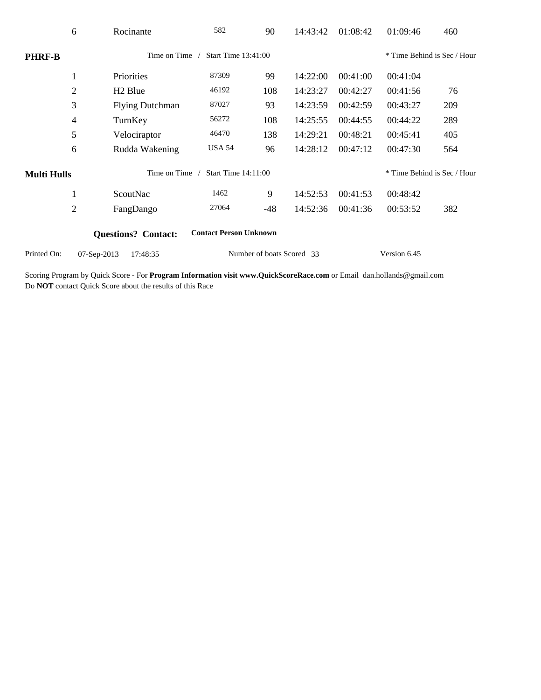|                    | 6              | Rocinante                  | 582                           | 90                        | 14:43:42 | 01:08:42 | 01:09:46                    | 460 |
|--------------------|----------------|----------------------------|-------------------------------|---------------------------|----------|----------|-----------------------------|-----|
| <b>PHRF-B</b>      |                | Time on Time               | Start Time $13:41:00$         |                           |          |          | * Time Behind is Sec / Hour |     |
|                    | 1              | Priorities                 | 87309                         | 99                        | 14:22:00 | 00:41:00 | 00:41:04                    |     |
|                    | $\overline{2}$ | H <sub>2</sub> Blue        | 46192                         | 108                       | 14:23:27 | 00:42:27 | 00:41:56                    | 76  |
|                    | 3              | <b>Flying Dutchman</b>     | 87027                         | 93                        | 14:23:59 | 00:42:59 | 00:43:27                    | 209 |
|                    | 4              | TurnKey                    | 56272                         | 108                       | 14:25:55 | 00:44:55 | 00:44:22                    | 289 |
|                    | 5              | Velociraptor               | 46470                         | 138                       | 14:29:21 | 00:48:21 | 00:45:41                    | 405 |
|                    | 6              | Rudda Wakening             | <b>USA 54</b>                 | 96                        | 14:28:12 | 00:47:12 | 00:47:30                    | 564 |
| <b>Multi Hulls</b> |                | Time on Time               | <b>Start Time 14:11:00</b>    |                           |          |          | * Time Behind is Sec / Hour |     |
|                    | 1              | ScoutNac                   | 1462                          | 9                         | 14:52:53 | 00:41:53 | 00:48:42                    |     |
|                    | $\overline{2}$ | FangDango                  | 27064                         | $-48$                     | 14:52:36 | 00:41:36 | 00:53:52                    | 382 |
|                    |                | <b>Questions?</b> Contact: | <b>Contact Person Unknown</b> |                           |          |          |                             |     |
| Printed On:        | 07-Sep-2013    | 17:48:35                   |                               | Number of boats Scored 33 |          |          | Version 6.45                |     |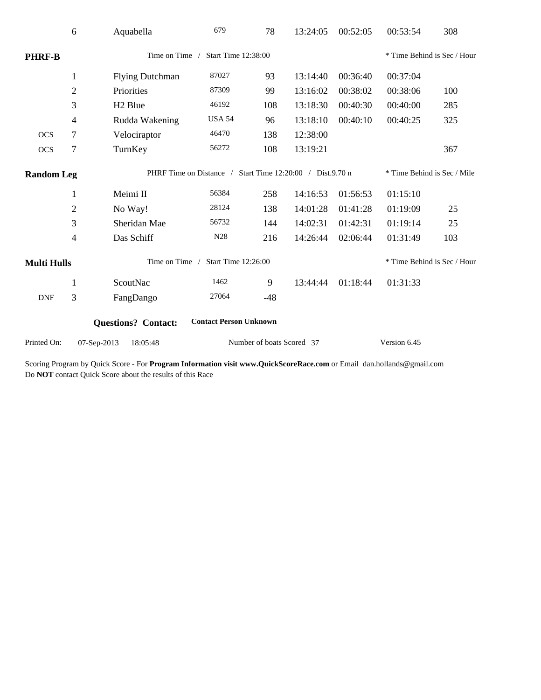|                                        | 6              | Aquabella                                                 | 679                           | 78    | 13:24:05 | 00:52:05 | 00:53:54                    | 308 |  |  |
|----------------------------------------|----------------|-----------------------------------------------------------|-------------------------------|-------|----------|----------|-----------------------------|-----|--|--|
| <b>PHRF-B</b>                          |                | Time on Time /                                            | Start Time 12:38:00           |       |          |          | * Time Behind is Sec / Hour |     |  |  |
|                                        | $\mathbf{1}$   | <b>Flying Dutchman</b>                                    | 87027                         | 93    | 13:14:40 | 00:36:40 | 00:37:04                    |     |  |  |
|                                        | $\mathbf{2}$   | Priorities                                                | 87309                         | 99    | 13:16:02 | 00:38:02 | 00:38:06                    | 100 |  |  |
|                                        | 3              | H <sub>2</sub> Blue                                       | 46192                         | 108   | 13:18:30 | 00:40:30 | 00:40:00                    | 285 |  |  |
|                                        | 4              | Rudda Wakening                                            | <b>USA 54</b>                 | 96    | 13:18:10 | 00:40:10 | 00:40:25                    | 325 |  |  |
| <b>OCS</b>                             | 7              | Velociraptor                                              | 46470                         | 138   | 12:38:00 |          |                             |     |  |  |
| <b>OCS</b>                             | $\tau$         | TurnKey                                                   | 56272                         | 108   | 13:19:21 |          |                             | 367 |  |  |
| <b>Random Leg</b>                      |                | PHRF Time on Distance / Start Time 12:20:00 / Dist.9.70 n |                               |       |          |          | * Time Behind is Sec / Mile |     |  |  |
|                                        | $\mathbf{1}$   | Meimi II                                                  | 56384                         | 258   | 14:16:53 | 01:56:53 | 01:15:10                    |     |  |  |
|                                        | $\overline{2}$ | No Way!                                                   | 28124                         | 138   | 14:01:28 | 01:41:28 | 01:19:09                    | 25  |  |  |
|                                        | 3              | Sheridan Mae                                              | 56732                         | 144   | 14:02:31 | 01:42:31 | 01:19:14                    | 25  |  |  |
|                                        | 4              | Das Schiff                                                | N28                           | 216   | 14:26:44 | 02:06:44 | 01:31:49                    | 103 |  |  |
| <b>Multi Hulls</b>                     |                | Time on Time                                              | Start Time 12:26:00           |       |          |          | * Time Behind is Sec / Hour |     |  |  |
|                                        | $\mathbf{1}$   | ScoutNac                                                  | 1462                          | 9     | 13:44:44 | 01:18:44 | 01:31:33                    |     |  |  |
| <b>DNF</b>                             | 3              | FangDango                                                 | 27064                         | $-48$ |          |          |                             |     |  |  |
|                                        |                | <b>Questions?</b> Contact:                                | <b>Contact Person Unknown</b> |       |          |          |                             |     |  |  |
| Printed On:<br>07-Sep-2013<br>18:05:48 |                |                                                           | Number of boats Scored 37     |       |          |          | Version 6.45                |     |  |  |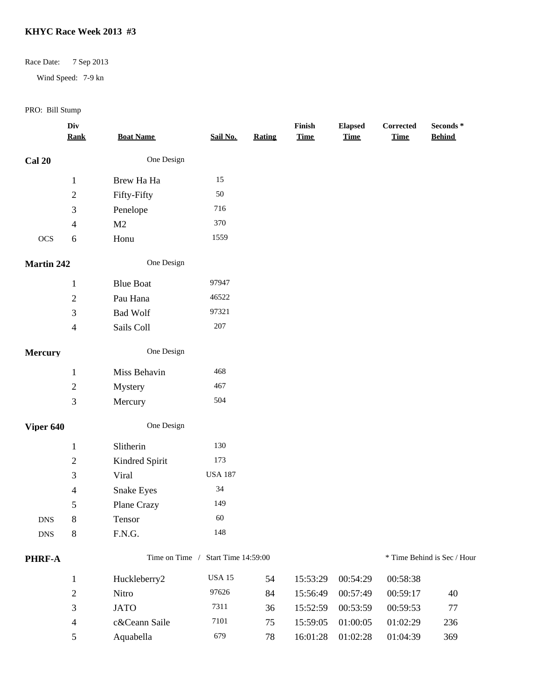## Race Date: 7 Sep 2013

Wind Speed: 7-9 kn

|                | Div<br><b>Rank</b>       | <b>Boat Name</b>  | Sail No.            | Rating | Finish<br><b>Time</b> | <b>Elapsed</b><br><b>Time</b> | Corrected<br><b>Time</b> | Seconds *<br><b>Behind</b>  |
|----------------|--------------------------|-------------------|---------------------|--------|-----------------------|-------------------------------|--------------------------|-----------------------------|
| <b>Cal 20</b>  |                          | One Design        |                     |        |                       |                               |                          |                             |
|                | $\mathbf{1}$             | Brew Ha Ha        | 15                  |        |                       |                               |                          |                             |
|                | $\boldsymbol{2}$         | Fifty-Fifty       | $50\,$              |        |                       |                               |                          |                             |
|                | 3                        | Penelope          | 716                 |        |                       |                               |                          |                             |
|                | 4                        | M <sub>2</sub>    | 370                 |        |                       |                               |                          |                             |
| <b>OCS</b>     | 6                        | Honu              | 1559                |        |                       |                               |                          |                             |
| Martin 242     |                          | One Design        |                     |        |                       |                               |                          |                             |
|                | $\mathbf{1}$             | <b>Blue Boat</b>  | 97947               |        |                       |                               |                          |                             |
|                | $\mathbf{2}$             | Pau Hana          | 46522               |        |                       |                               |                          |                             |
|                | 3                        | <b>Bad Wolf</b>   | 97321               |        |                       |                               |                          |                             |
|                | $\overline{\mathcal{L}}$ | Sails Coll        | $207\,$             |        |                       |                               |                          |                             |
| <b>Mercury</b> |                          | One Design        |                     |        |                       |                               |                          |                             |
|                | $\mathbf{1}$             | Miss Behavin      | 468                 |        |                       |                               |                          |                             |
|                | $\mathbf{2}$             | Mystery           | 467                 |        |                       |                               |                          |                             |
|                | 3                        | Mercury           | 504                 |        |                       |                               |                          |                             |
| Viper 640      |                          | One Design        |                     |        |                       |                               |                          |                             |
|                | $\mathbf{1}$             | Slitherin         | 130                 |        |                       |                               |                          |                             |
|                | $\mathbf{2}$             | Kindred Spirit    | 173                 |        |                       |                               |                          |                             |
|                | 3                        | Viral             | <b>USA 187</b>      |        |                       |                               |                          |                             |
|                | 4                        | <b>Snake Eyes</b> | 34                  |        |                       |                               |                          |                             |
|                | 5                        | Plane Crazy       | 149                 |        |                       |                               |                          |                             |
| ${\rm DNS}$    | 8                        | Tensor            | 60                  |        |                       |                               |                          |                             |
| <b>DNS</b>     | $8\,$                    | F.N.G.            | 148                 |        |                       |                               |                          |                             |
| PHRF-A         |                          | Time on Time /    | Start Time 14:59:00 |        |                       |                               |                          | * Time Behind is Sec / Hour |
|                | $\mathbf{1}$             | Huckleberry2      | $_{\rm USA\,15}$    | 54     | 15:53:29              | 00:54:29                      | 00:58:38                 |                             |
|                | $\mathbf{2}$             | Nitro             | 97626               | 84     | 15:56:49              | 00:57:49                      | 00:59:17                 | 40                          |
|                | 3                        | <b>JATO</b>       | 7311                | 36     | 15:52:59              | 00:53:59                      | 00:59:53                 | 77                          |
|                | 4                        | c&Ceann Saile     | 7101                | 75     | 15:59:05              | 01:00:05                      | 01:02:29                 | 236                         |
|                | 5                        | Aquabella         | 679                 | 78     | 16:01:28              | 01:02:28                      | 01:04:39                 | 369                         |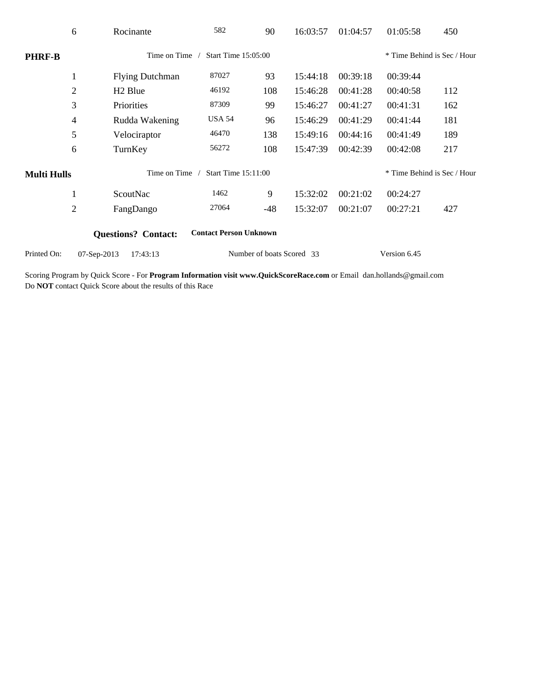|                    | 6              | Rocinante                  | 582                           | 90                        | 16:03:57 | 01:04:57 | 01:05:58                    | 450 |
|--------------------|----------------|----------------------------|-------------------------------|---------------------------|----------|----------|-----------------------------|-----|
| <b>PHRF-B</b>      |                | Time on Time               | Start Time 15:05:00           |                           |          |          | * Time Behind is Sec / Hour |     |
|                    | $\mathbf{1}$   | <b>Flying Dutchman</b>     | 87027                         | 93                        | 15:44:18 | 00:39:18 | 00:39:44                    |     |
|                    | $\overline{2}$ | H <sub>2</sub> Blue        | 46192                         | 108                       | 15:46:28 | 00:41:28 | 00:40:58                    | 112 |
|                    | 3              | Priorities                 | 87309                         | 99                        | 15:46:27 | 00:41:27 | 00:41:31                    | 162 |
|                    | 4              | Rudda Wakening             | <b>USA 54</b>                 | 96                        | 15:46:29 | 00:41:29 | 00:41:44                    | 181 |
|                    | 5              | Velociraptor               | 46470                         | 138                       | 15:49:16 | 00:44:16 | 00:41:49                    | 189 |
|                    | 6              | TurnKey                    | 56272                         | 108                       | 15:47:39 | 00:42:39 | 00:42:08                    | 217 |
| <b>Multi Hulls</b> |                | Time on Time               | <b>Start Time 15:11:00</b>    |                           |          |          | * Time Behind is Sec / Hour |     |
|                    | 1              | ScoutNac                   | 1462                          | 9                         | 15:32:02 | 00:21:02 | 00:24:27                    |     |
|                    | $\mathbf{2}$   | FangDango                  | 27064                         | $-48$                     | 15:32:07 | 00:21:07 | 00:27:21                    | 427 |
|                    |                | <b>Questions?</b> Contact: | <b>Contact Person Unknown</b> |                           |          |          |                             |     |
| Printed On:        | 07-Sep-2013    | 17:43:13                   |                               | Number of boats Scored 33 |          |          | Version 6.45                |     |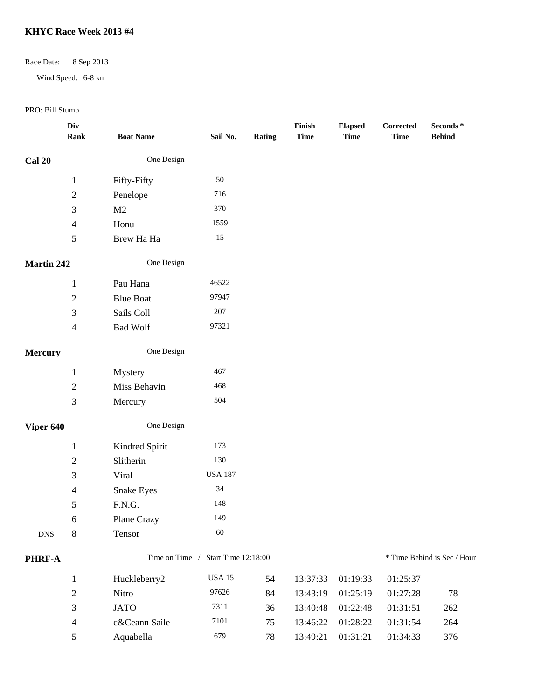## Race Date: 8 Sep 2013

Wind Speed: 6-8 kn

|                   | Div<br><b>Rank</b>       | <b>Boat Name</b> | Sail No.                           | <b>Rating</b> | Finish<br><b>Time</b> | <b>Elapsed</b><br><b>Time</b> | Corrected<br><b>Time</b> | Seconds *<br><b>Behind</b>  |
|-------------------|--------------------------|------------------|------------------------------------|---------------|-----------------------|-------------------------------|--------------------------|-----------------------------|
| <b>Cal 20</b>     |                          | One Design       |                                    |               |                       |                               |                          |                             |
|                   | $\mathbf{1}$             | Fifty-Fifty      | 50                                 |               |                       |                               |                          |                             |
|                   | $\overline{c}$           | Penelope         | 716                                |               |                       |                               |                          |                             |
|                   | 3                        | M2               | 370                                |               |                       |                               |                          |                             |
|                   | $\overline{\mathcal{A}}$ | Honu             | 1559                               |               |                       |                               |                          |                             |
|                   | 5                        | Brew Ha Ha       | $15\,$                             |               |                       |                               |                          |                             |
| <b>Martin 242</b> |                          | One Design       |                                    |               |                       |                               |                          |                             |
|                   | $\mathbf{1}$             | Pau Hana         | 46522                              |               |                       |                               |                          |                             |
|                   | $\overline{c}$           | <b>Blue Boat</b> | 97947                              |               |                       |                               |                          |                             |
|                   | 3                        | Sails Coll       | 207                                |               |                       |                               |                          |                             |
|                   | $\overline{4}$           | <b>Bad Wolf</b>  | 97321                              |               |                       |                               |                          |                             |
| <b>Mercury</b>    |                          | One Design       |                                    |               |                       |                               |                          |                             |
|                   | $\mathbf{1}$             | Mystery          | 467                                |               |                       |                               |                          |                             |
|                   | $\overline{2}$           | Miss Behavin     | 468                                |               |                       |                               |                          |                             |
|                   | 3                        | Mercury          | 504                                |               |                       |                               |                          |                             |
| Viper 640         |                          | One Design       |                                    |               |                       |                               |                          |                             |
|                   | $\mathbf{1}$             | Kindred Spirit   | 173                                |               |                       |                               |                          |                             |
|                   | $\overline{c}$           | Slitherin        | 130                                |               |                       |                               |                          |                             |
|                   | 3                        | Viral            | <b>USA 187</b>                     |               |                       |                               |                          |                             |
|                   | 4                        | Snake Eyes       | 34                                 |               |                       |                               |                          |                             |
|                   | 5                        | F.N.G.           | 148                                |               |                       |                               |                          |                             |
|                   | 6                        | Plane Crazy      | 149                                |               |                       |                               |                          |                             |
| <b>DNS</b>        | $8\,$                    | Tensor           | 60                                 |               |                       |                               |                          |                             |
| PHRF-A            |                          |                  | Time on Time / Start Time 12:18:00 |               |                       |                               |                          | * Time Behind is Sec / Hour |
|                   | $\mathbf{1}$             | Huckleberry2     | <b>USA 15</b>                      | 54            | 13:37:33              | 01:19:33                      | 01:25:37                 |                             |
|                   | $\mathbf{2}$             | Nitro            | 97626                              | 84            | 13:43:19              | 01:25:19                      | 01:27:28                 | 78                          |
|                   | 3                        | <b>JATO</b>      | 7311                               | 36            | 13:40:48              | 01:22:48                      | 01:31:51                 | 262                         |
|                   | $\overline{4}$           | c&Ceann Saile    | 7101                               | 75            | 13:46:22              | 01:28:22                      | 01:31:54                 | 264                         |
|                   | 5                        | Aquabella        | 679                                | 78            | 13:49:21              | 01:31:21                      | 01:34:33                 | 376                         |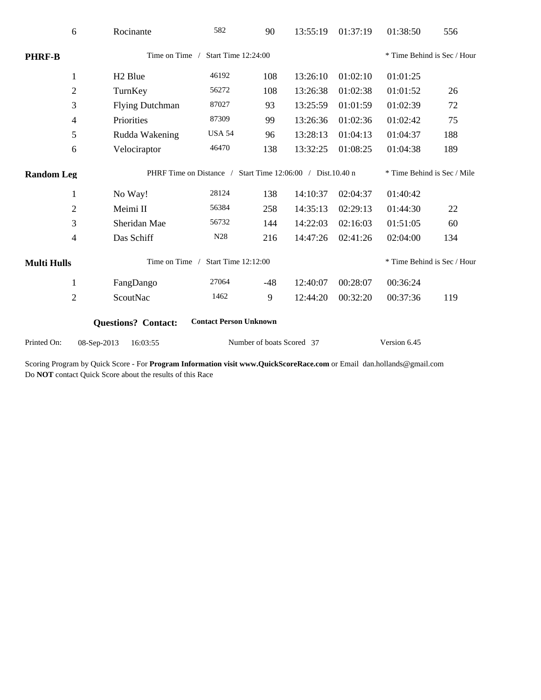|                                                             | 6                                            | Rocinante              | 582                                                        | 90                        | 13:55:19 | 01:37:19 | 01:38:50                    | 556 |  |
|-------------------------------------------------------------|----------------------------------------------|------------------------|------------------------------------------------------------|---------------------------|----------|----------|-----------------------------|-----|--|
| <b>PHRF-B</b>                                               | Time on Time /<br><b>Start Time 12:24:00</b> |                        |                                                            |                           |          |          | * Time Behind is Sec / Hour |     |  |
|                                                             | $\mathbf{1}$                                 | H <sub>2</sub> Blue    | 46192                                                      | 108                       | 13:26:10 | 01:02:10 | 01:01:25                    |     |  |
|                                                             | $\sqrt{2}$                                   | TurnKey                | 56272                                                      | 108                       | 13:26:38 | 01:02:38 | 01:01:52                    | 26  |  |
|                                                             | $\mathfrak{Z}$                               | <b>Flying Dutchman</b> | 87027                                                      | 93                        | 13:25:59 | 01:01:59 | 01:02:39                    | 72  |  |
|                                                             | $\overline{4}$                               | Priorities             | 87309                                                      | 99                        | 13:26:36 | 01:02:36 | 01:02:42                    | 75  |  |
|                                                             | 5                                            | Rudda Wakening         | <b>USA 54</b>                                              | 96                        | 13:28:13 | 01:04:13 | 01:04:37                    | 188 |  |
|                                                             | 6                                            | Velociraptor           | 46470                                                      | 138                       | 13:32:25 | 01:08:25 | 01:04:38                    | 189 |  |
| <b>Random Leg</b>                                           |                                              |                        | PHRF Time on Distance / Start Time 12:06:00 / Dist.10.40 n |                           |          |          | * Time Behind is Sec / Mile |     |  |
|                                                             | $\mathbf{1}$                                 | No Way!                | 28124                                                      | 138                       | 14:10:37 | 02:04:37 | 01:40:42                    |     |  |
|                                                             | $\overline{2}$                               | Meimi II               | 56384                                                      | 258                       | 14:35:13 | 02:29:13 | 01:44:30                    | 22  |  |
|                                                             | 3                                            | Sheridan Mae           | 56732                                                      | 144                       | 14:22:03 | 02:16:03 | 01:51:05                    | 60  |  |
|                                                             | $\overline{\mathcal{L}}$                     | Das Schiff             | N28                                                        | 216                       | 14:47:26 | 02:41:26 | 02:04:00                    | 134 |  |
| <b>Multi Hulls</b>                                          | Time on Time /<br>Start Time 12:12:00        |                        |                                                            |                           |          |          | * Time Behind is Sec / Hour |     |  |
| $\mathbf{1}$                                                |                                              | FangDango              | 27064                                                      | $-48$                     | 12:40:07 | 00:28:07 | 00:36:24                    |     |  |
|                                                             | $\overline{2}$                               | ScoutNac               | 1462                                                       | 9                         | 12:44:20 | 00:32:20 | 00:37:36                    | 119 |  |
| <b>Contact Person Unknown</b><br><b>Questions? Contact:</b> |                                              |                        |                                                            |                           |          |          |                             |     |  |
| Printed On:                                                 | 08-Sep-2013                                  | 16:03:55               |                                                            | Number of boats Scored 37 |          |          | Version 6.45                |     |  |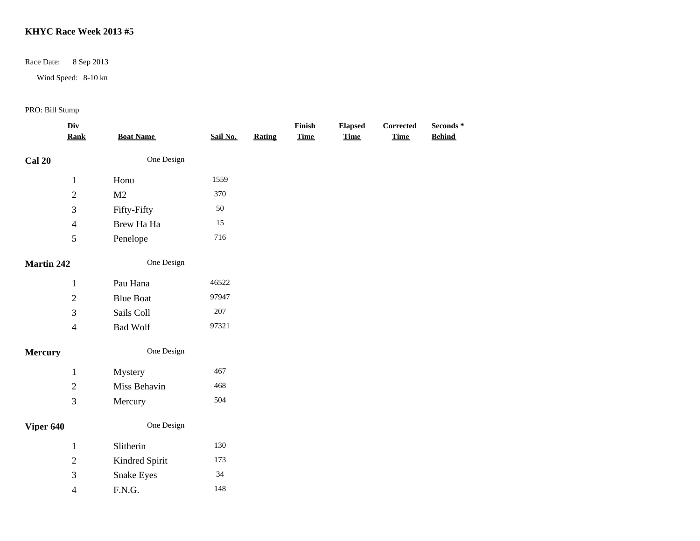Race Date: 8 Sep 2013

Wind Speed: 8-10 kn

|                   | Div<br><b>Rank</b>       | <b>Boat Name</b>                                                           | Sail No. | <b>Rating</b> | Finish<br><b>Time</b> | <b>Elapsed</b><br><b>Time</b> | Corrected<br><b>Time</b> | Seconds $^\ast$<br><b>Behind</b> |
|-------------------|--------------------------|----------------------------------------------------------------------------|----------|---------------|-----------------------|-------------------------------|--------------------------|----------------------------------|
|                   |                          |                                                                            |          |               |                       |                               |                          |                                  |
| <b>Cal 20</b>     |                          | One Design                                                                 |          |               |                       |                               |                          |                                  |
|                   | $\mathbf{1}$             | Honu                                                                       | 1559     |               |                       |                               |                          |                                  |
|                   | $\overline{c}$           | M <sub>2</sub>                                                             | 370      |               |                       |                               |                          |                                  |
|                   | 3                        | Fifty-Fifty                                                                | 50       |               |                       |                               |                          |                                  |
|                   | $\overline{\mathcal{A}}$ | Brew Ha Ha                                                                 | 15       |               |                       |                               |                          |                                  |
|                   | 5                        | Penelope                                                                   | 716      |               |                       |                               |                          |                                  |
| <b>Martin 242</b> |                          | One Design                                                                 |          |               |                       |                               |                          |                                  |
|                   | $\,1\,$                  | Pau Hana                                                                   | 46522    |               |                       |                               |                          |                                  |
|                   | $\sqrt{2}$               | <b>Blue Boat</b>                                                           | 97947    |               |                       |                               |                          |                                  |
|                   | 3                        | Sails Coll                                                                 | $207\,$  |               |                       |                               |                          |                                  |
|                   | $\overline{\mathcal{L}}$ | <b>Bad Wolf</b>                                                            | 97321    |               |                       |                               |                          |                                  |
| Mercury           |                          | One Design                                                                 |          |               |                       |                               |                          |                                  |
|                   | $\mathbf{1}$             | Mystery                                                                    | 467      |               |                       |                               |                          |                                  |
|                   | $\sqrt{2}$               | Miss Behavin                                                               | 468      |               |                       |                               |                          |                                  |
|                   | 3                        | Mercury                                                                    | 504      |               |                       |                               |                          |                                  |
| Viper 640         |                          | One Design                                                                 |          |               |                       |                               |                          |                                  |
|                   | $\mathbf{1}$             | Slitherin                                                                  | 130      |               |                       |                               |                          |                                  |
|                   | $\boldsymbol{2}$         | Kindred Spirit                                                             | 173      |               |                       |                               |                          |                                  |
|                   | 3                        | Snake Eyes                                                                 | $34\,$   |               |                       |                               |                          |                                  |
|                   | $\overline{\mathcal{A}}$ | $\boldsymbol{\mathsf{F}}.\boldsymbol{\mathsf{N}}.\boldsymbol{\mathsf{G}}.$ | 148      |               |                       |                               |                          |                                  |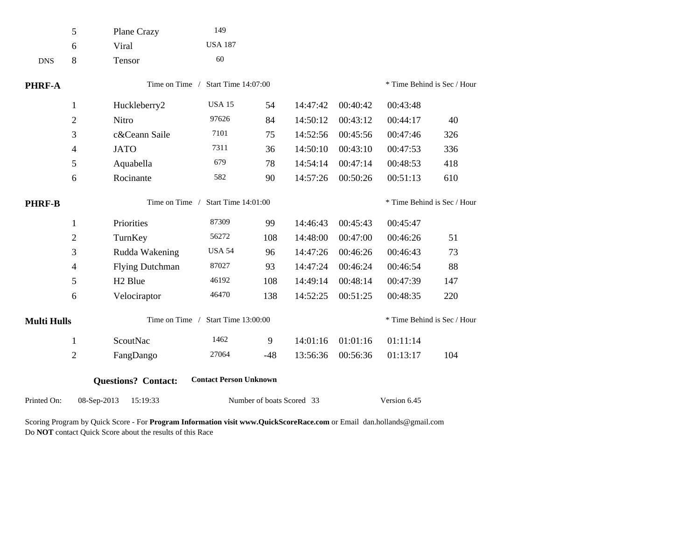|                    | 5              | Plane Crazy                | 149                           |                           |          |                             |          |                             |  |  |
|--------------------|----------------|----------------------------|-------------------------------|---------------------------|----------|-----------------------------|----------|-----------------------------|--|--|
|                    | 6              | Viral                      | <b>USA 187</b>                |                           |          |                             |          |                             |  |  |
| <b>DNS</b>         | 8              | Tensor                     | 60                            |                           |          |                             |          |                             |  |  |
| <b>PHRF-A</b>      |                | Time on Time /             | Start Time 14:07:00           |                           |          |                             |          | * Time Behind is Sec / Hour |  |  |
|                    | $\mathbf{1}$   | Huckleberry2               | <b>USA 15</b>                 | 54                        | 14:47:42 | 00:40:42                    | 00:43:48 |                             |  |  |
|                    | $\sqrt{2}$     | Nitro                      | 97626                         | 84                        | 14:50:12 | 00:43:12                    | 00:44:17 | 40                          |  |  |
|                    | 3              | c&Ceann Saile              | 7101                          | 75                        | 14:52:56 | 00:45:56                    | 00:47:46 | 326                         |  |  |
|                    | 4              | <b>JATO</b>                | 7311                          | 36                        | 14:50:10 | 00:43:10                    | 00:47:53 | 336                         |  |  |
|                    | 5              | Aquabella                  | 679                           | 78                        | 14:54:14 | 00:47:14                    | 00:48:53 | 418                         |  |  |
|                    | 6              | Rocinante                  | 582                           | 90                        | 14:57:26 | 00:50:26                    | 00:51:13 | 610                         |  |  |
| <b>PHRF-B</b>      |                | Time on Time /             | <b>Start Time 14:01:00</b>    |                           |          | * Time Behind is Sec / Hour |          |                             |  |  |
|                    | $\mathbf{1}$   | Priorities                 | 87309                         | 99                        | 14:46:43 | 00:45:43                    | 00:45:47 |                             |  |  |
|                    | $\overline{c}$ | TurnKey                    | 56272                         | 108                       | 14:48:00 | 00:47:00                    | 00:46:26 | 51                          |  |  |
|                    | 3              | Rudda Wakening             | <b>USA 54</b>                 | 96                        | 14:47:26 | 00:46:26                    | 00:46:43 | 73                          |  |  |
|                    | 4              | <b>Flying Dutchman</b>     | 87027                         | 93                        | 14:47:24 | 00:46:24                    | 00:46:54 | 88                          |  |  |
|                    | 5              | H <sub>2</sub> Blue        | 46192                         | 108                       | 14:49:14 | 00:48:14                    | 00:47:39 | 147                         |  |  |
|                    | 6              | Velociraptor               | 46470                         | 138                       | 14:52:25 | 00:51:25                    | 00:48:35 | 220                         |  |  |
| <b>Multi Hulls</b> |                | Time on Time /             | Start Time 13:00:00           |                           |          |                             |          | * Time Behind is Sec / Hour |  |  |
|                    | $\mathbf{1}$   | ScoutNac                   | 1462                          | 9                         | 14:01:16 | 01:01:16                    | 01:11:14 |                             |  |  |
|                    | $\overline{c}$ | FangDango                  | 27064                         | $-48$                     | 13:56:36 | 00:56:36                    | 01:13:17 | 104                         |  |  |
|                    |                | <b>Questions? Contact:</b> | <b>Contact Person Unknown</b> |                           |          |                             |          |                             |  |  |
| Printed On:        | 08-Sep-2013    | 15:19:33                   |                               | Number of boats Scored 33 |          | Version 6.45                |          |                             |  |  |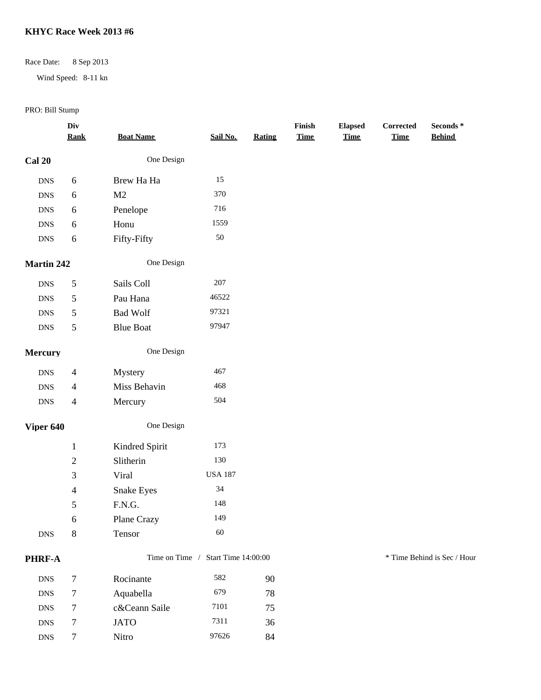## Race Date: 8 Sep 2013

Wind Speed: 8-11 kn

|                | Div<br><b>Rank</b> | <b>Boat Name</b> | Sail No.                           | <b>Rating</b> | Finish<br><b>Time</b> | <b>Elapsed</b><br><b>Time</b> | Corrected<br><b>Time</b> | Seconds *<br><b>Behind</b>  |  |
|----------------|--------------------|------------------|------------------------------------|---------------|-----------------------|-------------------------------|--------------------------|-----------------------------|--|
| <b>Cal 20</b>  |                    | One Design       |                                    |               |                       |                               |                          |                             |  |
| ${\rm DNS}$    | $\sqrt{6}$         | Brew Ha Ha       | 15                                 |               |                       |                               |                          |                             |  |
| ${\rm DNS}$    | $6\,$              | M <sub>2</sub>   | 370                                |               |                       |                               |                          |                             |  |
| ${\rm DNS}$    | $6\,$              | Penelope         | 716                                |               |                       |                               |                          |                             |  |
| ${\rm DNS}$    | $\sqrt{6}$         | Honu             | 1559                               |               |                       |                               |                          |                             |  |
| ${\rm DNS}$    | $\sqrt{6}$         | Fifty-Fifty      | $50\,$                             |               |                       |                               |                          |                             |  |
| Martin 242     |                    | One Design       |                                    |               |                       |                               |                          |                             |  |
| ${\rm DNS}$    | $\sqrt{5}$         | Sails Coll       | 207                                |               |                       |                               |                          |                             |  |
| ${\rm DNS}$    | $\sqrt{5}$         | Pau Hana         | 46522                              |               |                       |                               |                          |                             |  |
| ${\rm DNS}$    | $\sqrt{5}$         | <b>Bad Wolf</b>  | 97321                              |               |                       |                               |                          |                             |  |
| ${\rm DNS}$    | $\mathfrak{S}$     | <b>Blue Boat</b> | 97947                              |               |                       |                               |                          |                             |  |
| <b>Mercury</b> |                    | One Design       |                                    |               |                       |                               |                          |                             |  |
| ${\rm DNS}$    | $\overline{4}$     | Mystery          | 467                                |               |                       |                               |                          |                             |  |
| ${\rm DNS}$    | $\overline{4}$     | Miss Behavin     | 468                                |               |                       |                               |                          |                             |  |
| ${\rm DNS}$    | $\overline{4}$     | Mercury          | 504                                |               |                       |                               |                          |                             |  |
| Viper 640      |                    | One Design       |                                    |               |                       |                               |                          |                             |  |
|                | $\,1\,$            | Kindred Spirit   | 173                                |               |                       |                               |                          |                             |  |
|                | $\sqrt{2}$         | Slitherin        | 130                                |               |                       |                               |                          |                             |  |
|                | 3                  | Viral            | <b>USA 187</b>                     |               |                       |                               |                          |                             |  |
|                | $\overline{4}$     | Snake Eyes       | $34\,$                             |               |                       |                               |                          |                             |  |
|                | 5                  | F.N.G.           | 148                                |               |                       |                               |                          |                             |  |
|                | 6                  | Plane Crazy      | 149                                |               |                       |                               |                          |                             |  |
| ${\rm DNS}$    | $\,8\,$            | Tensor           | 60                                 |               |                       |                               |                          |                             |  |
| PHRF-A         |                    |                  | Time on Time / Start Time 14:00:00 |               |                       |                               |                          | * Time Behind is Sec / Hour |  |
| ${\rm DNS}$    | $\boldsymbol{7}$   | Rocinante        | 582                                | 90            |                       |                               |                          |                             |  |
| ${\rm DNS}$    | $\boldsymbol{7}$   | Aquabella        | 679                                | 78            |                       |                               |                          |                             |  |
| <b>DNS</b>     | $\tau$             | c&Ceann Saile    | 7101                               | 75            |                       |                               |                          |                             |  |
| ${\rm DNS}$    | $\tau$             | <b>JATO</b>      | 7311                               | 36            |                       |                               |                          |                             |  |
| ${\rm DNS}$    | $\tau$             | Nitro            | 97626                              | 84            |                       |                               |                          |                             |  |